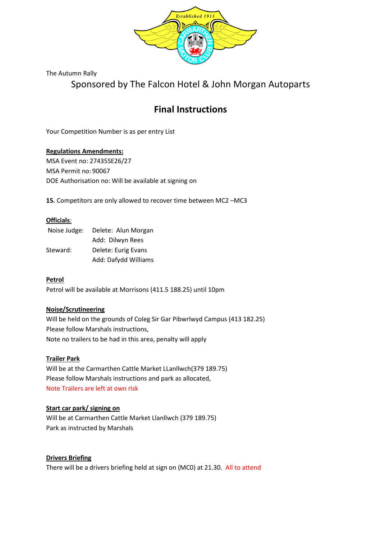

The Autumn Rally

Sponsored by The Falcon Hotel & John Morgan Autoparts

# Final Instructions

Your Competition Number is as per entry List

## Regulations Amendments:

MSA Event no: 27435SE26/27 MSA Permit no: 90067 DOE Authorisation no: Will be available at signing on

15. Competitors are only allowed to recover time between MC2 –MC3

## Officials:

| Noise Judge: | Delete: Alun Morgan  |
|--------------|----------------------|
|              | Add: Dilwyn Rees     |
| Steward:     | Delete: Eurig Evans  |
|              | Add: Dafydd Williams |

## Petrol

Petrol will be available at Morrisons (411.5 188.25) until 10pm

## Noise/Scrutineering

Will be held on the grounds of Coleg Sir Gar Pibwrlwyd Campus (413 182.25) Please follow Marshals instructions, Note no trailers to be had in this area, penalty will apply

## Trailer Park

Will be at the Carmarthen Cattle Market LLanllwch(379 189.75) Please follow Marshals instructions and park as allocated, Note Trailers are left at own risk

# Start car park/ signing on

Will be at Carmarthen Cattle Market Llanllwch (379 189.75) Park as instructed by Marshals

## Drivers Briefing

There will be a drivers briefing held at sign on (MC0) at 21.30. All to attend